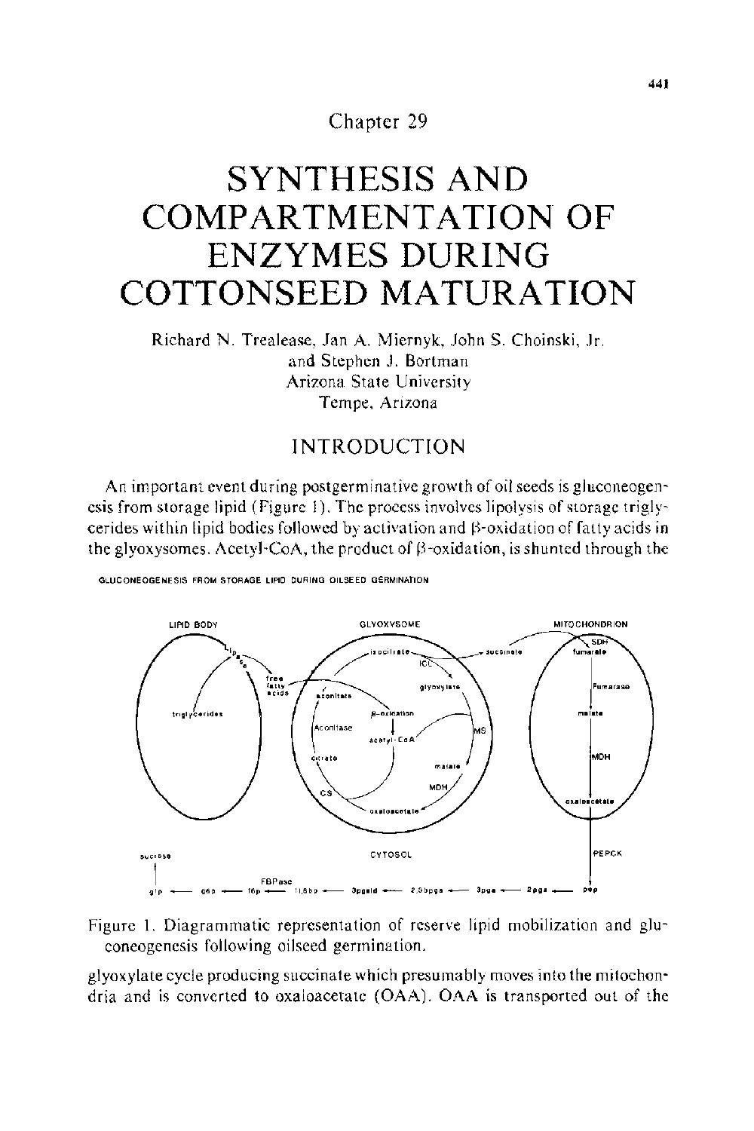Chapter 29

# **SYNTHESIS AND COMPARTMENTATION OF ENZYMES DURING COTTONSEED MATURATION**

Richard N. Trealease, Jan A. Miernyk, JohnS. Choinski, Jr. and Stephen J. Bortman Arizona State University Tempe, Arizona

# INTRODUCTION

An important event during postgerminative growth of oil seeds is gluconeogenesis from storage lipid (Figure I). The process involves lipolysis of storage triglycerides within lipid bodies followed by activation and  $\beta$ -oxidation of fatty acids in the glyoxysomes. Acetyl-CoA, the product of  $\beta$ -oxidation, is shunted through the



**GLUCONEOGENESIS FROM STORAGE LIPID DURING OILSEED GERMINATION** 

Figure I. Diagrammatic representation of reserve lipid mobilization and gluconeogenesis following oilseed germination.

glyoxylate cycle producing succinate which presumably moves into the mitochondria and is converted to oxaloacetate (OAA). OAA is transported out of the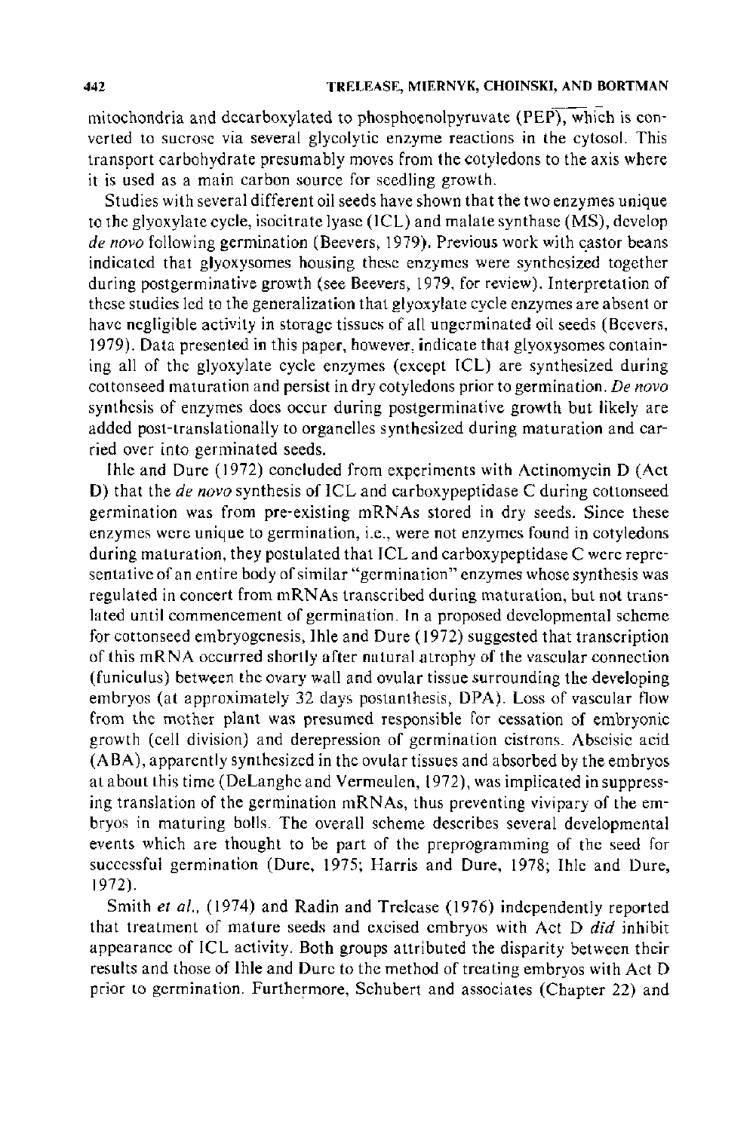mitochondria and decarboxylated to phosphoenolpyruvate (PEP), which is converted to sucrose via several glycolytic enzyme reactions in the cytosol. This transport carbohydrate presumably moves from the cotyledons to the axis where it is used as a main carbon source for seedling growth.

Studies with several different oil seeds have shown that the two enzymes unique to the glyoxylate cycle, isocitrate lyase (ICL) and malate synthase (MS), develop *de novo* following germination (Beevers, 1979). Previous work with castor beans indicated that glyoxysomes housing these enzymes were synthesized together during postgerminative growth (see Beevers, 1979, for review). Interpretation of these studies led to the generalization that glyoxylate cycle enzymes are absent or have negligible activity in storage tissues of all ungerminated oil seeds (Beevers, 1979). Data presented in this paper, however, indicate that glyoxysomes containing all of the glyoxylate cycle enzymes (except ICL) are synthesized during cottonseed maturation and persist in dry cotyledons prior to germination. *De novo*  synthesis of enzymes does occur during postgerminative growth but likely are added post-translationally to organelles synthesized during maturation and carried over into germinated seeds.

lhle and Dure (1972) concluded from experiments with Actinomycin D (Act D) that the *de novo* synthesis of ICL and carboxypeptidase C during cottonseed germination was from pre-existing mRNAs stored in dry seeds. Since these enzymes were unique to germination, i.e., were not enzymes found in cotyledons during maturation, they postulated that ICL and carboxypeptidase C were representative of an entire body of similar "germination" enzymes whose synthesis was regulated in concert from mRNAs transcribed during maturation, but not translated until commencement of germination. In a proposed developmental scheme for cottonseed embryogenesis, Ihle and Dure (1972) suggested that transcription of this mRNA occurred shortly after natural atrophy of the vascular connection (funiculus) between the ovary wall and ovular tissue surrounding the developing embryos (at approximately 32 days postanthesis, DPA). Loss of vascular flow from the mother plant was presumed responsible for cessation of embryonic growth (cell division) and derepression of germination cistrons. Abscisic acid (ABA), apparently synthesized in the ovular tissues and absorbed by the embryos at about this time (DeLanghe and Vermeulen, 1972), was implicated in suppressing translation of the germination mRNAs, thus preventing vivipary of the embryos in maturing bolls. The overall scheme describes several developmental events which are thought to be part of the preprogramming of the seed for successful germination (Dure, 1975; Harris and Dure, 1978; Ihle and Dure, 1972).

Smith *et al.*, (1974) and Radin and Trelease (1976) independently reported that treatment of mature seeds and excised embryos with Act D *did* inhibit appearance of ICL activity. Both groups attributed the disparity between their results and those of lhle and Dure to the method of treating embryos with Act D prior to germination. Furthermore, Schubert and associates (Chapter 22) and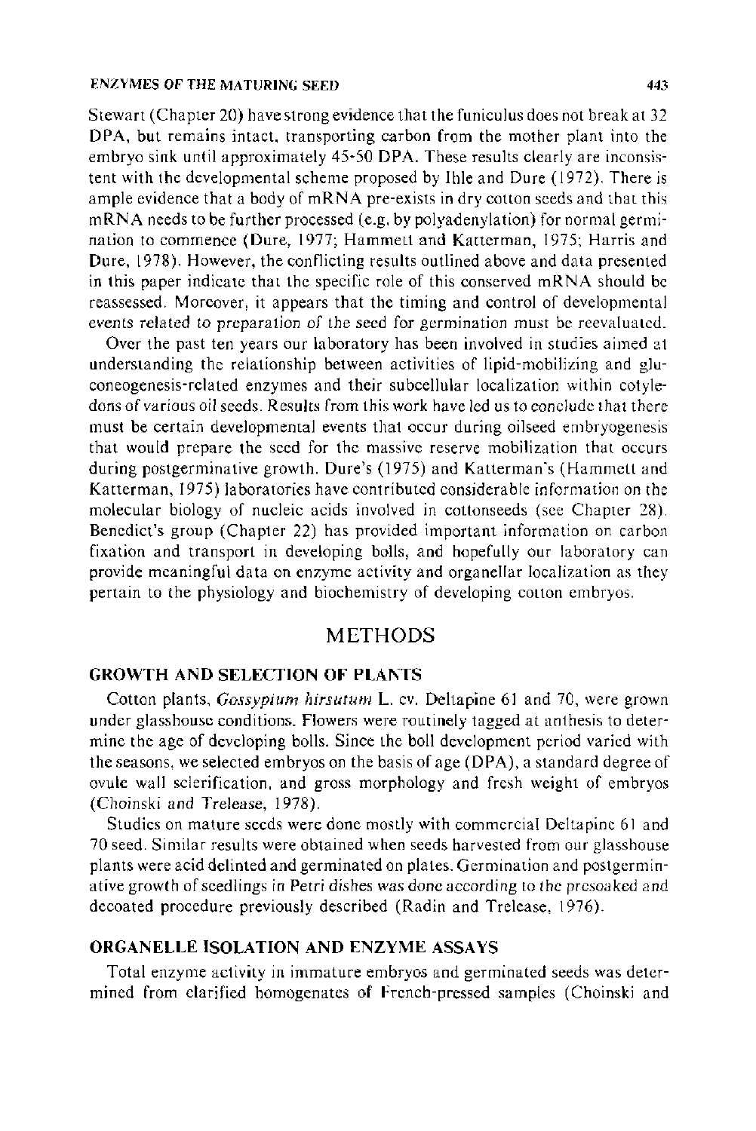Stewart (Chapter 20) have strong evidence that the funiculus does not break at 32 DPA, but remains intact, transporting carbon from the mother plant into the embryo sink until approximately 45-50 DPA. These results clearly are inconsistent with the developmental scheme proposed by lhle and Dure (1972). There is ample evidence that a body of mRNA pre-exists in dry cotton seeds and that this mRNA needs to be further processed (e.g. by polyadenylation) for normal germination to commence (Dure, 1977; Hammett and Katterman, 1975; Harris and Dure, 1978). However, the conflicting results outlined above and data presented in this paper indicate that the specific role of this conserved mRNA should be reassessed. Moreover, it appears that the timing and control of developmental events related to preparation of the seed for germination must be reevaluated.

Over the past ten years our laboratory has been involved in studies aimed at understanding the relationship between activities of lipid-mobilizing and gluconeogenesis-related enzymes and their subcellular localization within cotyledons of various oil seeds. Results from this work have led us to conclude that there must be certain developmental events that occur during oilseed embryogenesis that would prepare the seed for the massive reserve mobilization that occurs during postgerminative growth. Dure's (1975) and Katterman's (Hammett and Katterman, 1975) laboratories have contributed considerable information on the molecular biology of nucleic acids involved in cottonseeds (see Chapter 28). Benedict's group (Chapter 22) has provided important information on carbon fixation and transport in developing bolls, and hopefully our laboratory can provide meaningful data on enzyme activity and organellar localization as they pertain to the physiology and biochemistry of developing cotton embryos.

# METHODS

# GROWTH AND SELECTION OF PLANTS

Cotton plants, *Gossypium hirsutum* L. cv. Deltapine 61 and 70, were grown under glasshouse conditions. Flowers were routinely tagged at anthesis to determine the age of developing bolls. Since the boll development period varied with the seasons, we selected embryos on the basis of age (DPA), a standard degree of ovule wall sclerification, and gross morphology and fresh weight of embryos (Choinski and Trelease, 1978).

Studies on mature seeds were done mostly with commercial Deltapine 61 and 70 seed. Similar results were obtained when seeds harvested from our glasshouse plants were acid delinted and germinated on plates. Germination and postgerminative growth of seedlings in Petri dishes was done according to the presoaked and decoated procedure previously described (Radin and Trelease, 1976).

# ORGANELLE ISOLATION AND ENZYME ASSAYS

Total enzyme activity in immature embryos and germinated seeds was determined from clarified homogenates of French-pressed samples (Choinski and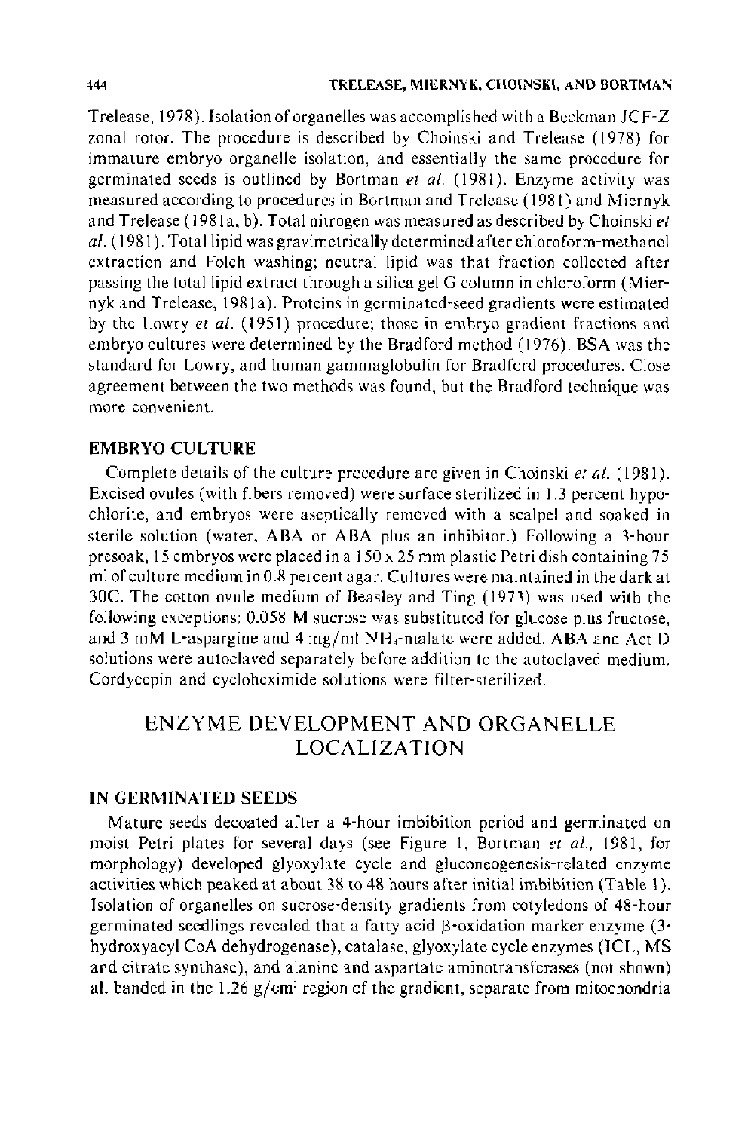Trelease, 1978). Isolation of organelles was accomplished with a Beckman JCF-Z zonal rotor. The procedure is described by Choinski and Trelease (1978) for immature embryo organelle isolation, and essentially the same procedure for germinated seeds is outlined by Bartman *et a/.* ( 1981 ). Enzyme activity was measured according to procedures in Bartman and Trelease (1981) and Miernyk and Trelease ( 1981 a, b). Total nitrogen was measured as described by Choinski *et a/.* ( 1981). Total lipid was gravimetrically determined after chloroform-methanol extraction and Folch washing; neutral lipid was that fraction collected after passing the total lipid extract through a silica gel G column in chloroform (Miernyk and Trelease, 1981a). Proteins in germinated-seed gradients were estimated by the Lowry *et al.* (1951) procedure; those in embryo gradient fractions and embryo cultures were determined by the Bradford method ( 1976). BSA was the standard for Lowry, and human gammaglobulin for Bradford procedures. Close agreement between the two methods was found, but the Bradford technique was more convenient.

## EMBRYO CULTURE

Complete details of the culture procedure are given in Choinski *et a/.* (1981 ). Excised ovules (with fibers removed) were surface sterilized in 1.3 percent hypochlorite, and embryos were aseptically removed with a scalpel and soaked in sterile solution (water, ABA or ABA plus an inhibitor.) Following a 3-hour presoak, 15 embryos were placed in a 150 x 25 mm plastic Petri dish containing 75 ml of culture medium in 0.8 percent agar. Cultures were maintained in the dark at 30C. The cotton ovule medium of Beasley and Ting ( 1973) was used with the following exceptions: 0.058 M sucrose was substituted for glucose plus fructose, and 3 mM L-aspargine and 4 mg/ml  $NH_4$ -malate were added. ABA and Act D solutions were autoclaved separately before addition to the autoclaved medium. Cordycepin and cycloheximide solutions were filter-sterilized.

# ENZYME DEVELOPMENT AND ORGANELLE LOCALIZATION

### IN GERMINATED SEEDS

Mature seeds decoated after a 4-hour imbibition period and germinated on moist Petri plates for several days (see Figure I, Bartman *et a!.,* 1981, for morphology) developed glyoxylate cycle and gluconeogenesis-related enzyme activities which peaked at about 38 to 48 hours after initial imbibition (Table 1). Isolation of organelles on sucrose-density gradients from cotyledons of 48-hour germinated seedlings revealed that a fatty acid  $\beta$ -oxidation marker enzyme (3hydroxyacyl CoA dehydrogenase), catalase, glyoxylate cycle enzymes (ICL, MS and citrate synthase), and alanine and aspartate aminotransferases (not shown) all banded in the 1.26 *gjcm'* region of the gradient, separate from mitochondria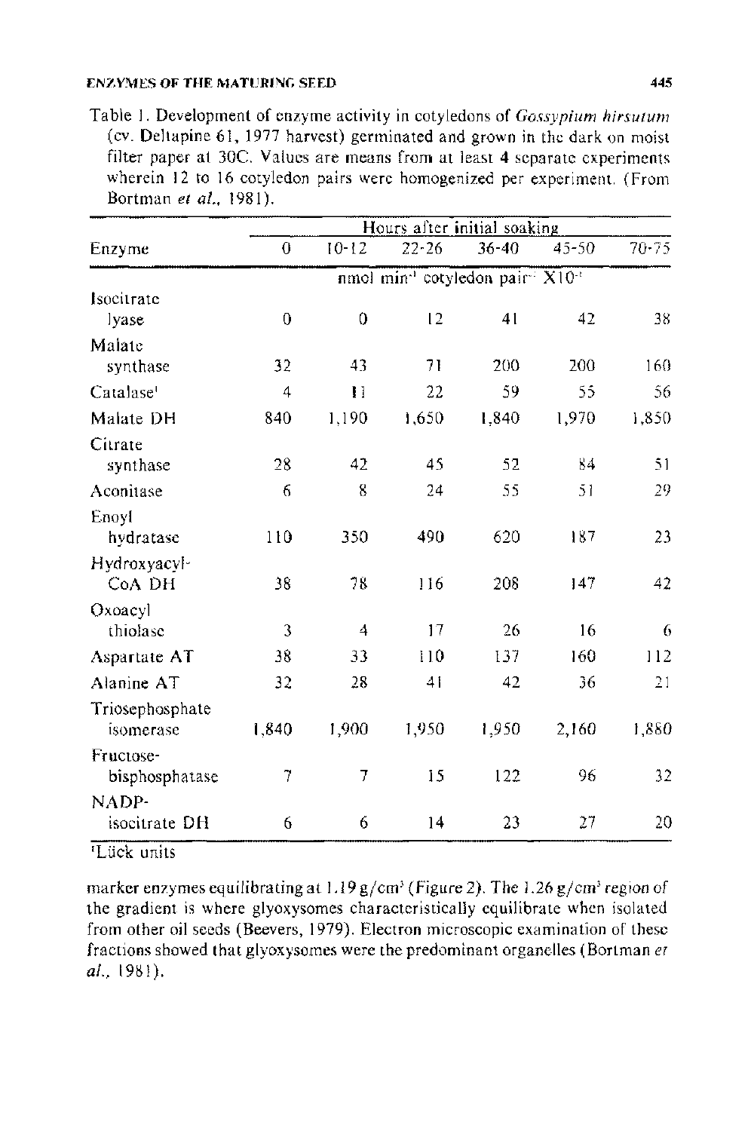Table I. Development of enzyme activity in cotyledons of *Gossypium hirsutum*  (cv. Deltapine 61, 1977 harvest) germinated and grown in the dark on moist filter paper at 30C. Values are means from at least 4 separate experiments wherein 12 to 16 cotyledon pairs were homogenized per experiment. (From Hortman *eta/.,* 1981).

| Enzyme                | Hours after initial soaking                                           |                |           |           |           |           |  |
|-----------------------|-----------------------------------------------------------------------|----------------|-----------|-----------|-----------|-----------|--|
|                       | 0                                                                     | $10 - 12$      | $22 - 26$ | $36 - 40$ | $45 - 50$ | $70 - 75$ |  |
|                       | nmol min <sup>-1</sup> cotyledon pair <sup>-1</sup> X10 <sup>-1</sup> |                |           |           |           |           |  |
| Isocitrate            |                                                                       |                |           |           |           |           |  |
| lvase                 | 0                                                                     | $\theta$       | 12        | 41        | 42        | 38        |  |
| Malate                |                                                                       |                |           |           |           |           |  |
| synthase              | 32                                                                    | 43             | 71        | 200       | 200       | 160       |  |
| Catalase <sup>1</sup> | $\overline{\mathbf{4}}$                                               | Ħ              | 22        | 59        | 55        | 56        |  |
| Malate DH             | 840                                                                   | 1,190          | 1,650     | 1.840     | 1.970     | 1.850     |  |
| Citrate               |                                                                       |                |           |           |           |           |  |
| synthase              | 28                                                                    | 42             | 45        | 52        | 84        | 51        |  |
| Aconitase             | 6                                                                     | 8              | 24        | 55        | 51        | 29        |  |
| Enoyl                 |                                                                       |                |           |           |           |           |  |
| hydratase             | 110                                                                   | 350            | 490       | 620       | 137       | 23        |  |
| Hydroxyacyl-          |                                                                       |                |           |           |           |           |  |
| CoA DH                | 38                                                                    | 78             | 116       | 208       | 147       | 42        |  |
| Oxoacyl               |                                                                       |                |           |           |           |           |  |
| thiolase              | 3                                                                     | $\overline{4}$ | 17        | 26        | 16        | 6         |  |
| Aspartate AT          | 38                                                                    | 33             | 110       | 137       | 160       | 112       |  |
| Alanine AT            | 32                                                                    | 28             | 41        | 42        | 36        | 21        |  |
| Triosephosphate       |                                                                       |                |           |           |           |           |  |
| isomerase             | 1,840                                                                 | 1,900          | 1,950     | 1,950     | 2.160     | 1,880     |  |
| Fructose-             |                                                                       |                |           |           |           |           |  |
| bisphosphatase        | 7                                                                     | 7              | 15        | 122       | 96        | 32        |  |
| NADP-                 |                                                                       |                |           |           |           |           |  |
| isocitrate DH         | 6                                                                     | 6              | 14        | 23        | 27        | 20        |  |

1 Liick units

marker enzymes equilibrating at 1.19 g/cm<sup>3</sup> (Figure 2). The 1.26 g/cm<sup>3</sup> region of the gradient is where glyoxysomes characteristically equilibrate when isolated from other oil seeds (Beevers, 1979). Electron microscopic examination of these fractions showed that glyoxysomes were the predominant organelles (Bortman et *al.,* 1981).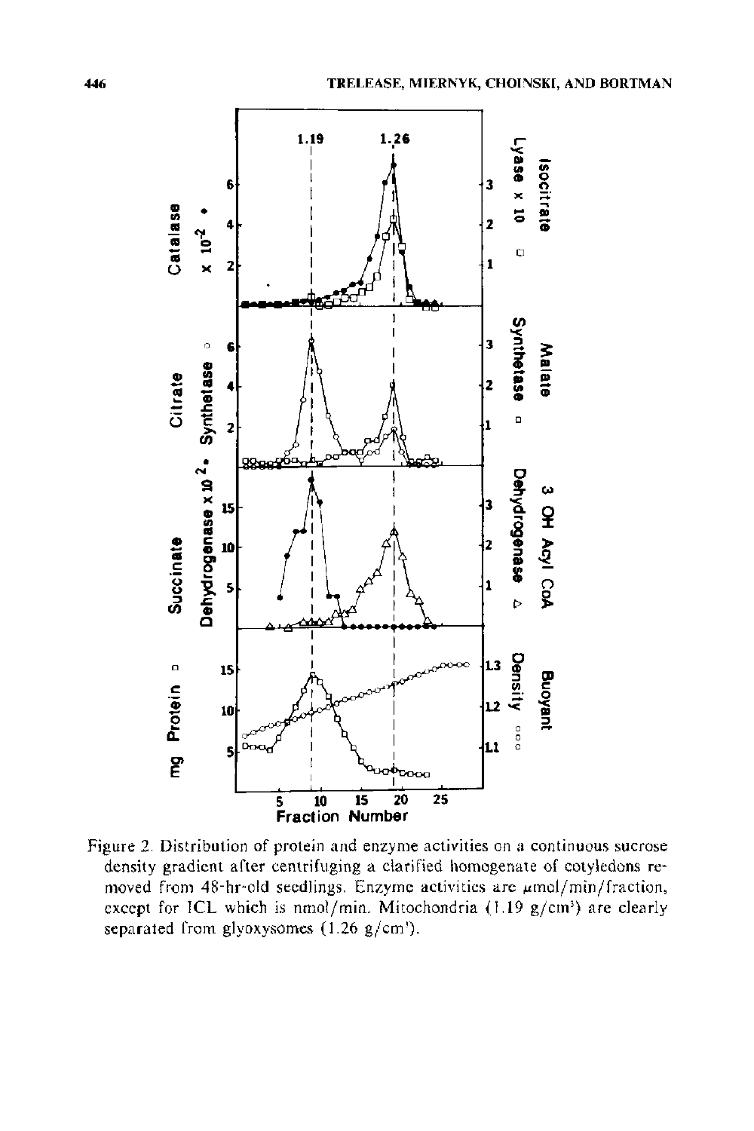

Figure 2. Distribution of protein and enzyme activities on a continuous sucrose density gradient after centrifuging a clarified homogenate of cotyledons removed from 48-hr-old seedlings. Enzyme activities are  $\mu$ mol/min/fraction, except for ICL which is nmol/min. Mitochondria (1.19 g/cm<sup>3</sup>) are clearly separated from glyoxysomes  $(1.26 \text{ g/cm}^3)$ .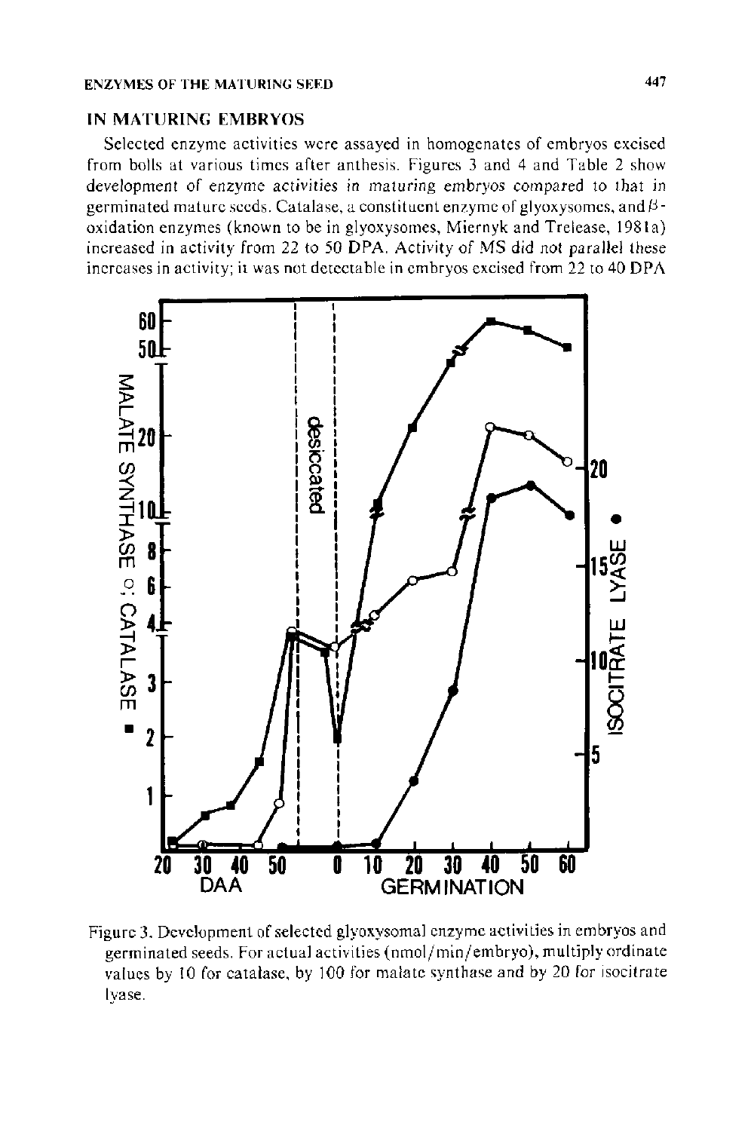#### IN MATURING EMBRYOS

Selected enzyme activities were assayed in homogenates of embryos excised from bolls at various times after anthesis. Figures 3 and 4 and Table 2 show development of enzyme activities in maturing embryos compared to that in germinated mature seeds. Catalase, a constituent enzyme of glyoxysomes, and *13* oxidation enzymes (known to be in glyoxysomes, Miernyk and Trelease, 1981 a) increased in activity from 22 to 50 DPA. Activity of MS did not parallel these increases in activity; it was not detectable in embryos excised from 22 to 40 DPA



Figure 3. Development of selected glyoxysomal enzyme activities in embryos and germinated seeds. For actual activities (nmol/min/embryo), multiply ordinate values by 10 for catalase, by 100 for malate synthase and by 20 for isocitrate lyase.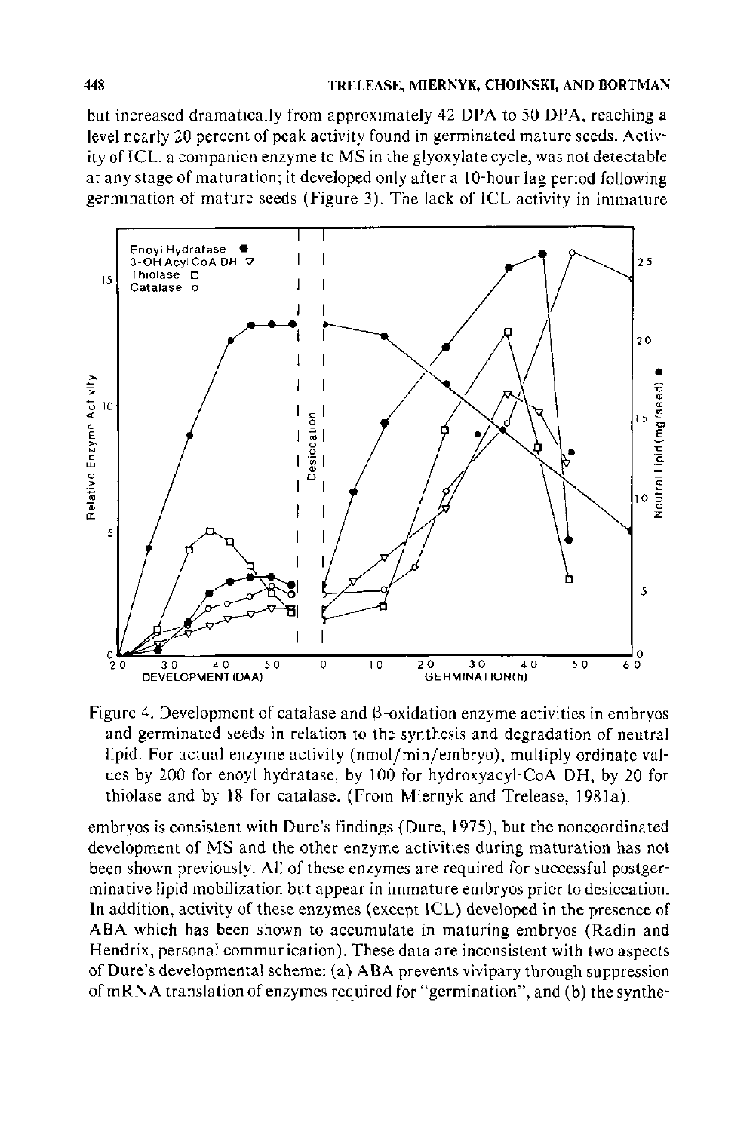but increased dramatically from approximately 42 DPA to 50 DPA, reaching a level nearly 20 percent of peak activity found in germinated mature seeds. Activity of ICL, a companion enzyme to MS in the glyoxylate cycle, was not detectable at any stage of maturation; it developed only after a 10-hour lag period following germination of mature seeds (Figure 3). The lack of ICL activity in immature



Figure 4. Development of catalase and  $\beta$ -oxidation enzyme activities in embryos and germinated seeds in relation to the synthesis and degradation of neutral lipid. For actual enzyme activity (nmol/min/embryo), multiply ordinate values by 200 for enoyl hydratase, by 100 for hydroxyacyl-CoA DH, by 20 for thiolase and by 18 for catalase. (From Miernyk and Trelease, 198la).

embryos is consistent with Dure's findings (Dure, 1975), but the noncoordinated development of MS and the other enzyme activities during maturation has not been shown previously. All of these enzymes are required for successful postgerminative lipid mobilization but appear in immature embryos prior to desiccation. In addition, activity of these enzymes (except ICL) developed in the presence of ABA which has been shown to accumulate in maturing embryos (Radin and Hendrix, personal communication). These data are inconsistent with two aspects of Dure's developmental scheme: (a) ABA prevents vivipary through suppression of mRNA translation of enzymes required for "germination", and (b) the synthe-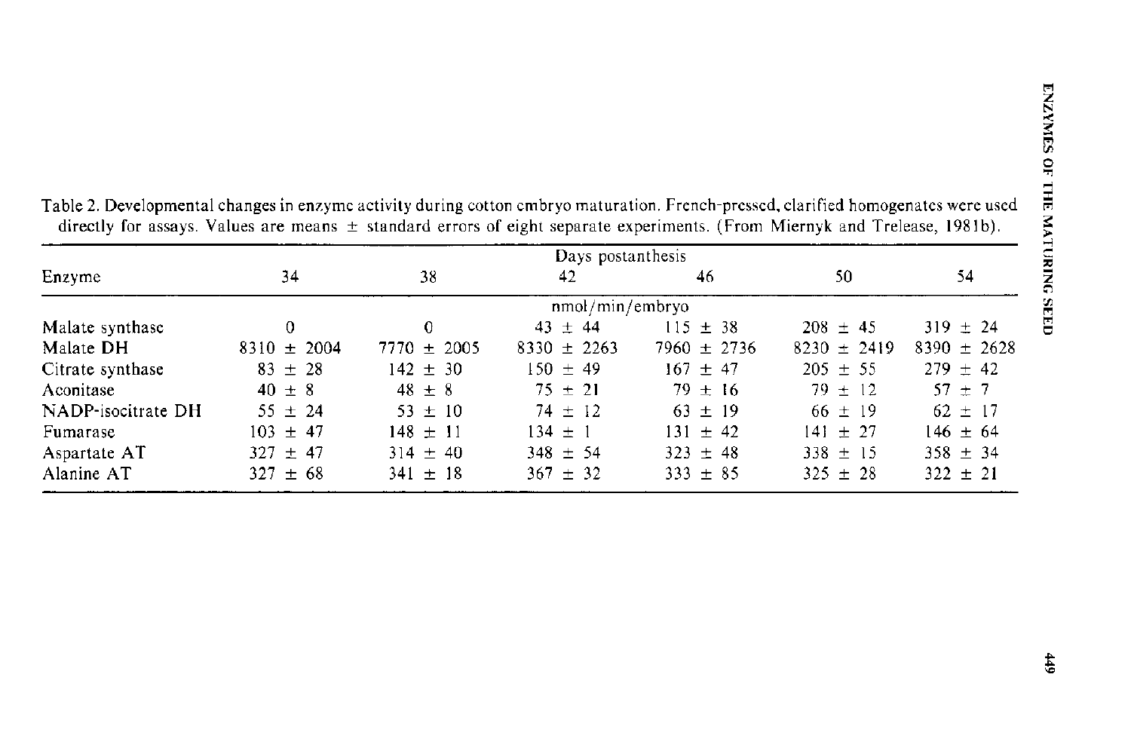| Days postanthesis  |                 |                 |                 |                 |                 |                 |
|--------------------|-----------------|-----------------|-----------------|-----------------|-----------------|-----------------|
| Enzyme             | 34              | 38              | 42              | 46              | 50              | 54              |
|                    |                 |                 | nmol/min/embryo |                 |                 |                 |
| Malate synthase    | 0               | 0               | $43 \pm 44$     | $115 \pm 38$    | $208 \pm 45$    | $319 \pm 24$    |
| Malate DH          | $8310 \pm 2004$ | $7770 \pm 2005$ | $8330 \pm 2263$ | $7960 \pm 2736$ | $8230 \pm 2419$ | $8390 \pm 2628$ |
| Citrate synthase   | $83 \pm 28$     | $142 \pm 30$    | $150 \pm 49$    | $167 \pm 47$    | $205 \pm 55$    | $279 \pm 42$    |
| Aconitase          | $40 \pm 8$      | $48 \pm 8$      | $75 \pm 21$     | $79 \pm 16$     | $79 \pm 12$     | $57 + 7$        |
| NADP-isocitrate DH | $55 \pm 24$     | $53 \pm 10$     | $74 \pm 12$     | $63 \pm 19$     | $66 \pm 19$     | $62 \pm 17$     |
| Fumarase           | $103 \pm 47$    | $148 \pm 11$    | $134 \pm 1$     | $131 \pm 42$    | $141 + 27$      | $146 \pm 64$    |
| Aspartate AT       | $327 \pm 47$    | $314 \pm 40$    | $348 \pm 54$    | $323 \pm 48$    | $338 \pm 15$    | $358 \pm 34$    |
| Alanine AT         | $327 \pm 68$    | $341 \pm 18$    | $367 \pm 32$    | $333 \pm 85$    | $325 \pm 28$    | $322 \pm 21$    |

Table 2. Developmental changes in enzyme activity during cotton embryo maturation. French-pressed, clarified homogenates were used directly for assays. Values are means  $\pm$  standard errors of eight separate experiments. (From Miernyk and Trelease, 1981b).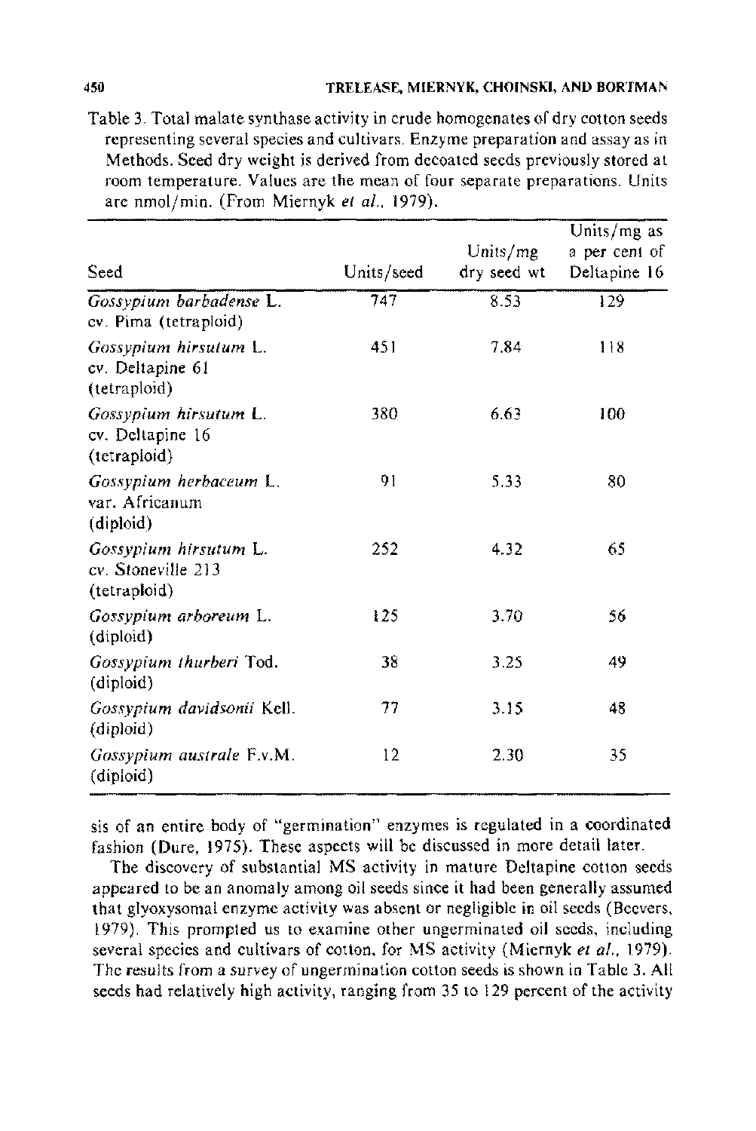Table 3. Total malate synthase activity in crude homogenates of dry cotton seeds representing several species and cultivars. Enzyme preparation and assay as in Methods. Seed dry weight is derived from decoated seeds previously stored at room temperature. Values are the mean of four separate preparations. Units are nmol/min. (From Miernyk et al., 1979).

| Seed                                                        | Units/seed | Units/mg<br>dry seed wt | Units/mg as<br>a per cent of<br>Deltapine 16 |
|-------------------------------------------------------------|------------|-------------------------|----------------------------------------------|
| Gossypium barbadense L.<br>cv. Pima (tetraploid)            | 747        | 8.53                    | 129                                          |
| Gossypium hirsutum L.<br>cv. Deltapine 61<br>(tetraploid)   | 451        | 7.84                    | 118                                          |
| Gossypium hirsutum L.<br>cv. Deltapine 16<br>(tetraploid)   | 380        | 6.63                    | 100                                          |
| Gossypium herbaceum L.<br>var. Africanum<br>(diploid)       | 91         | 5.33                    | 80                                           |
| Gossypium hirsutum L.<br>cv. Stoneville 213<br>(tetraploid) | 252        | 4.32                    | 65                                           |
| Gossypium arboreum L.<br>(diploid)                          | 125        | 3.70                    | 56                                           |
| Gossypium thurberi Tod.<br>(diploid)                        | 38         | 3.25                    | 49                                           |
| Gossypium davidsonii Kell.<br>(diploid)                     | 77         | 3.15                    | 48                                           |
| Gossypium australe F.v.M.<br>(diploid)                      | $12 \,$    | 2.30                    | 35                                           |

sis of an entire body of "germination" enzymes is regulated in a coordinated fashion (Dure, 1975). These aspects will be discussed in more detail later.

The discovery of substantial MS activity in mature Deltapine cotton seeds appeared to be an anomaly among oil seeds since it had been generally assumed that glyoxysomal enzyme activity was absent or negligible in oil seeds (Beevers. 1979). This prompted us to examine other ungerminated oil seeds, including several species and cultivars of cotton, for MS activity (Miernyk *et a!.,* 1979). The results from a survey of ungermination cotton seeds is shown in Table 3. All seeds had relatively high activity, ranging from 35 to 129 percent of the activity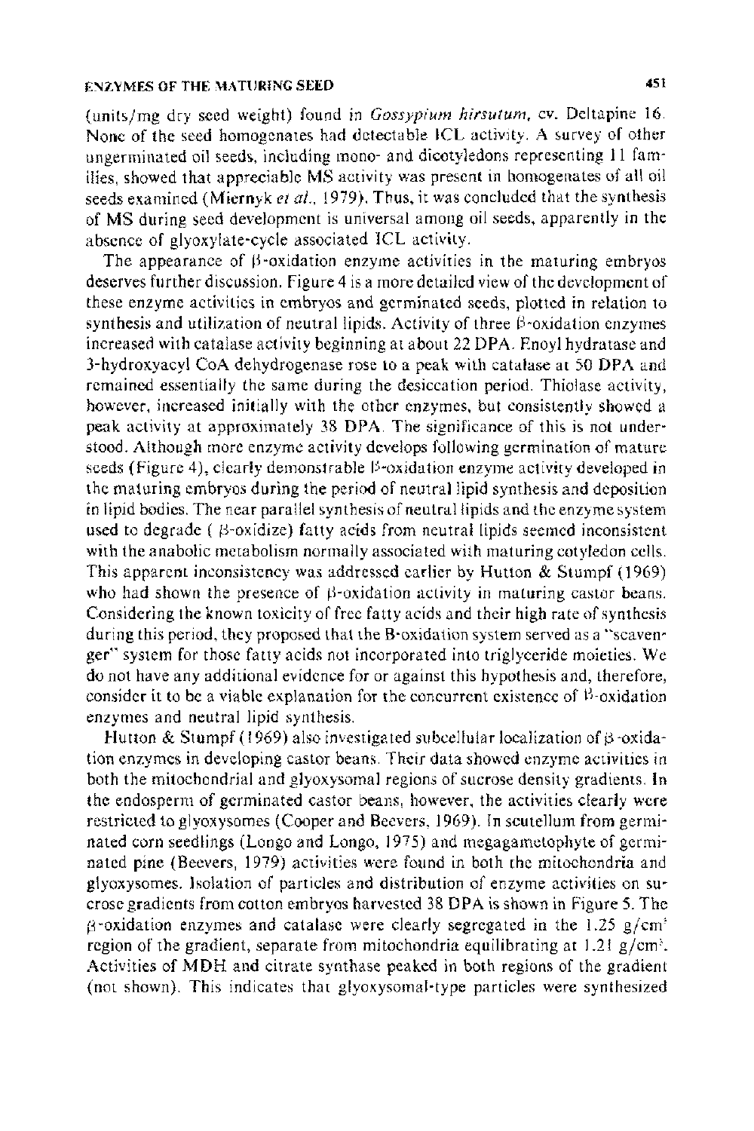(unitsjmg dry seed weight) found in *Gossypium hirsutum.* cv. Deltapine 16. None of the seed homogenates had detectable ICL activity. A survey of other ungerminated oil seeds, including mono- and dicotyledons representing 11 families, showed that appreciable MS activity was present in homogenates of all oil seeds examined (Miernyk et al., 1979). Thus, it was concluded that the synthesis of MS during seed development is universal among oil seeds, apparently in the absence of glyoxylate-cycle associated ICL activity.

The appearance of  $\beta$ -oxidation enzyme activities in the maturing embryos deserves further discussion. Figure 4 is a more detailed view of the development of these enzyme activities in embryos and germinated seeds, plotted in relation to synthesis and utilization of neutral lipids. Activity of three  $\beta$ -oxidation enzymes increased with catalase activity beginning at about 22 DPA. Enoyl hydratase and 3-hydroxyacyl CoA dehydrogenase rose to a peak with catalase at 50 DPA and remained essentially the same during the desiccation period. Thiolase activity, however, increased initially with the other enzymes, but consistently showed a peak activity at approximately 38 DPA. The significance of this is not under· stood. Although more enzyme activity develops following germination of mature seeds (Figure 4), clearly demonstrable  $\beta$ -oxidation enzyme activity developed in the maturing embryos during the period of neutral lipid synthesis and deposition in lipid bodies. The near parallel synthesis of neutral lipids and the enzyme system used to degrade ( $\beta$ -oxidize) fatty acids from neutral lipids seemed inconsistent with the anabolic metabolism normally associated with maturing cotyledon cells. This apparent inconsistency was addressed earlier by Hutton & Stumpf (1969) who had shown the presence of  $\beta$ -oxidation activity in maturing castor beans. Considering the known toxicity of free fatty acids and their high rate of synthesis during this period, they proposed that the B-oxidation system served as a ''scavenger" system for those fatty acids not incorporated into triglyceride moieties. We do not have any additional evidence for or against this hypothesis and, therefore, consider it to be a viable explanation for the concurrent existence of  $\beta$ -oxidation enzymes and neutral lipid synthesis.

Hutton & Stumpf (1969) also investigated subcellular localization of  $\beta$  -oxidation enzymes in developing castor beans. Their data showed enzyme activities in both the mitochondrial and glyoxysomal regions of sucrose density gradients. In the endosperm of germinated castor beans, however, the activities clearly were restricted to glyoxysomes (Cooper and Beevers, 1969). In scutellum from germinated corn seedlings (Longo and Longo, 1975) and megagametophyte of germinated pine (Beevers, 1979) activities were found in both the mitochondria and glyoxysomes. Isolation of particles and distribution of enzyme activities on su· erose gradients from cotton embryos harvested38 DPA is shown in Figure *5.* The  $\beta$ -oxidation enzymes and catalase were clearly segregated in the 1.25 g/cm<sup>2</sup> region of the gradient, separate from mitochondria equilibrating at  $1.21$  g/cm<sup>3</sup>. Activities of MDH and citrate synthase peaked in both regions of the gradient (not shown). This indicates that glyoxysomal-type particles were synthesized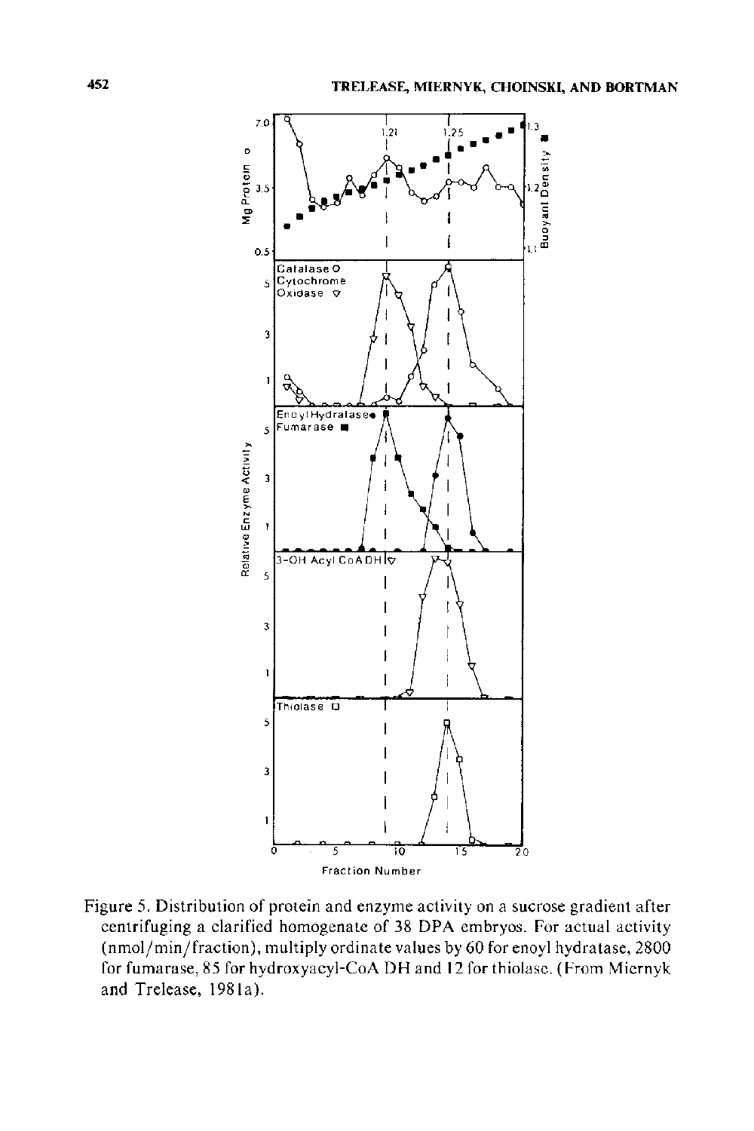

Figure 5. Distribution of protein and enzyme activity on a sucrose gradient after centrifuging a clarified homogenate of 38 DPA embryos. For actual activity (nmol/min/fraction), multiply ordinate values by 60 for enoyl hydratase, 2800 for fumarase, 85 for hydroxyacyl-CoA DH and 12 for thiolase. (From Miernyk and Trelease, 1981a).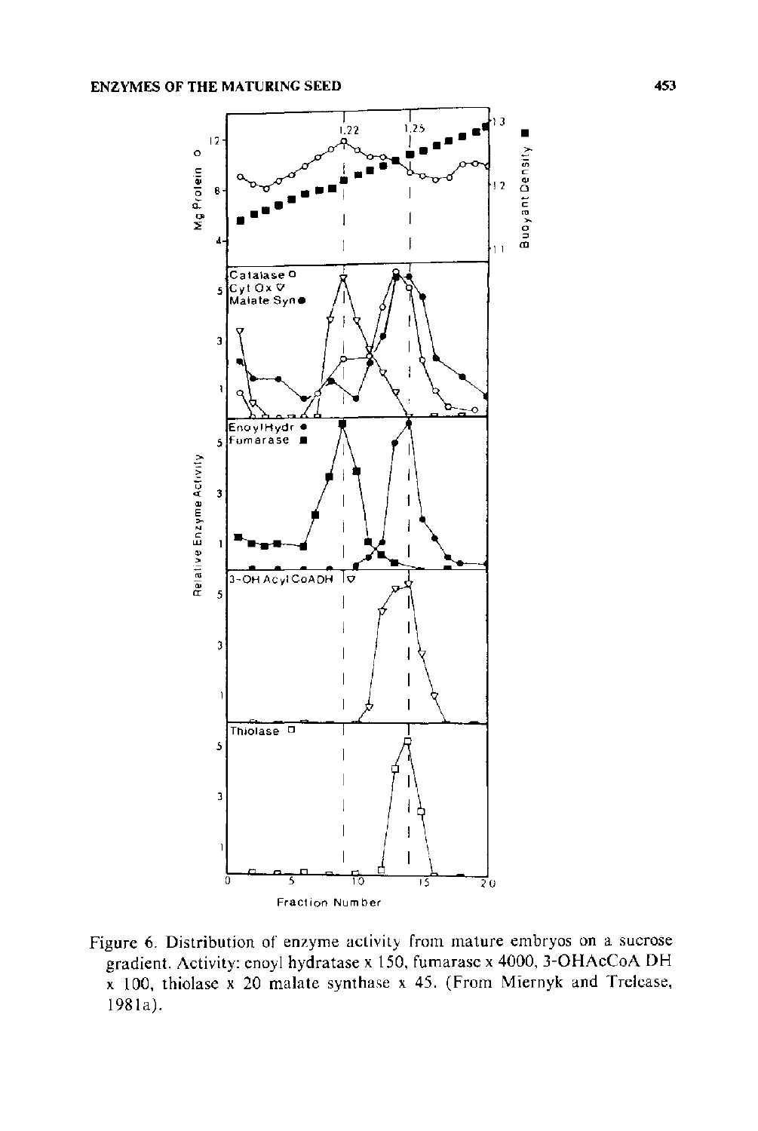

Figure 6. Distribution of enzyme activity from mature embryos on a sucrose gradient. Activity: enoyl hydratase x 150, fumarase x 4000, 3-OHAcCoA DH x 100, thiolase x 20 malate synthase x 45. (From Miernyk and Trelease, 1981a).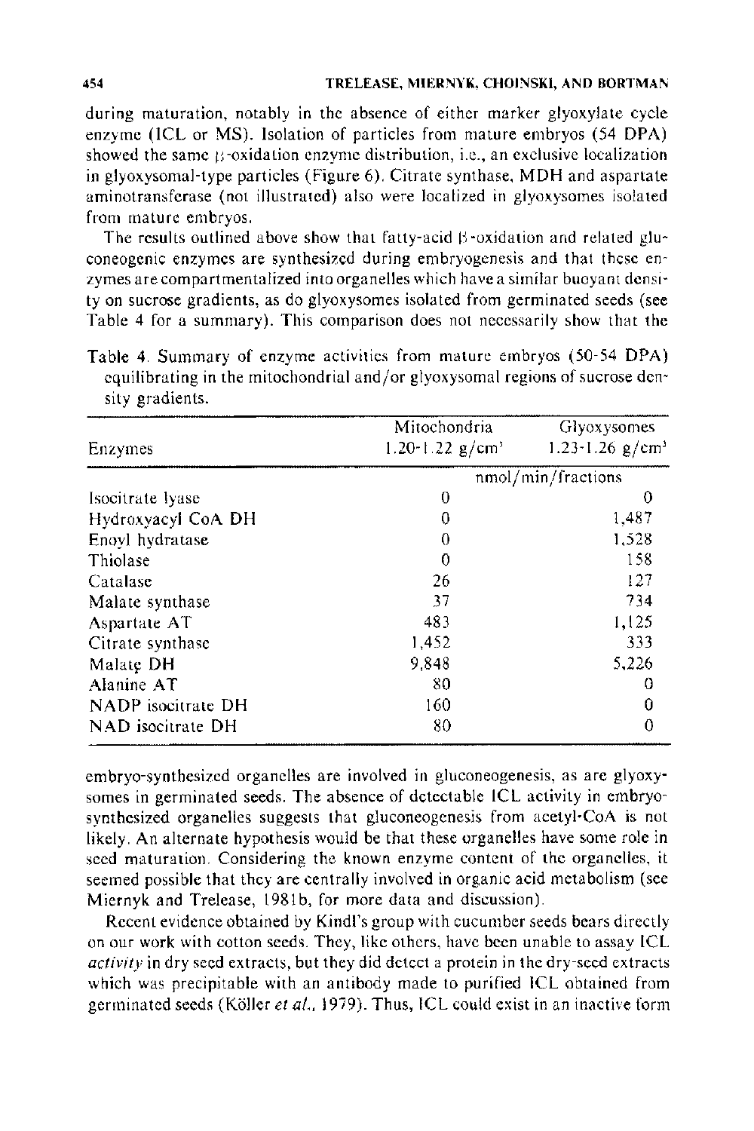during maturation, notably in the absence of either marker glyoxylate cycle enzyme (ICL or MS). Isolation of particles from mature embryos (54 DPA) showed the same  $\beta$ -oxidation enzyme distribution, i.e., an exclusive localization in glyoxysomal-type particles (Figure 6). Citrate synthase, MDH and aspartate aminotransferase (not illustrated) also were localized in glyoxysomes isolated from mature embryos.

The results outlined above show that fatty-acid  $\beta$ -oxidation and related gluconeogenic enzymes are synthesized during embryogenesis and that these enzymes are compartmentalized into organelles which have a similar buoyant density on sucrose gradients, as do glyoxysomes isolated from germinated seeds (see Table 4 for a summary). This comparison does not necessarily show that the

Table 4. Summary of enzyme activities from mature embryos (50-54 DPA) equilibrating in the mitochondrial and/or glyoxysomal regions of sucrose density gradients.

|                    | Mitochondria       | <b>Glyoxysomes</b>                  |
|--------------------|--------------------|-------------------------------------|
| Enzymes            | 1.20-1.22 $g/cm^3$ | $1.23 \cdot 1.26$ g/cm <sup>3</sup> |
|                    |                    | nmol/min/fractions                  |
| Isocitrate lyase   | 0                  | $\Omega$                            |
| Hydroxyacyl CoA DH | 0                  | 1,487                               |
| Enoyl hydratase    | 0                  | 1,528                               |
| Thiolase           | 0                  | 158                                 |
| Catalase           | 26                 | 127                                 |
| Malate synthase    | 37                 | 734                                 |
| Aspartate AT       | 483                | 1,125                               |
| Citrate synthase   | 1,452              | 333                                 |
| Malate DH          | 9.848              | 5,226                               |
| Alanine AT         | 80                 |                                     |
| NADP isocitrate DH | 160                |                                     |
| NAD isocitrate DH  | 80                 |                                     |

embryo-synthesized organelles are involved in gluconeogenesis, as are glyoxysomes in germinated seeds. The absence of detectable ICL activity in embryosynthesized organelles suggests that gluconeogenesis from acetyi-CoA is not likely. An alternate hypothesis would be that these organelles have some role in seed maturation. Considering the known enzyme content of the organelles, it seemed possible that they are centrally involved in organic acid metabolism (see Miernyk and Trelease, 1981b, for more data and discussion).

Recent evidence obtained by Kindl's group with cucumber seeds bears directly on our work with cotton seeds. They, like others, have been unable to assay ICL *activity* in dry seed extracts, but they did detect a protein in the dry-seed extracts which was precipitable with an antibody made to purified ICL obtained from germinated seeds {Koller *eta/.,* 1979). Thus, ICL could exist in an inactive form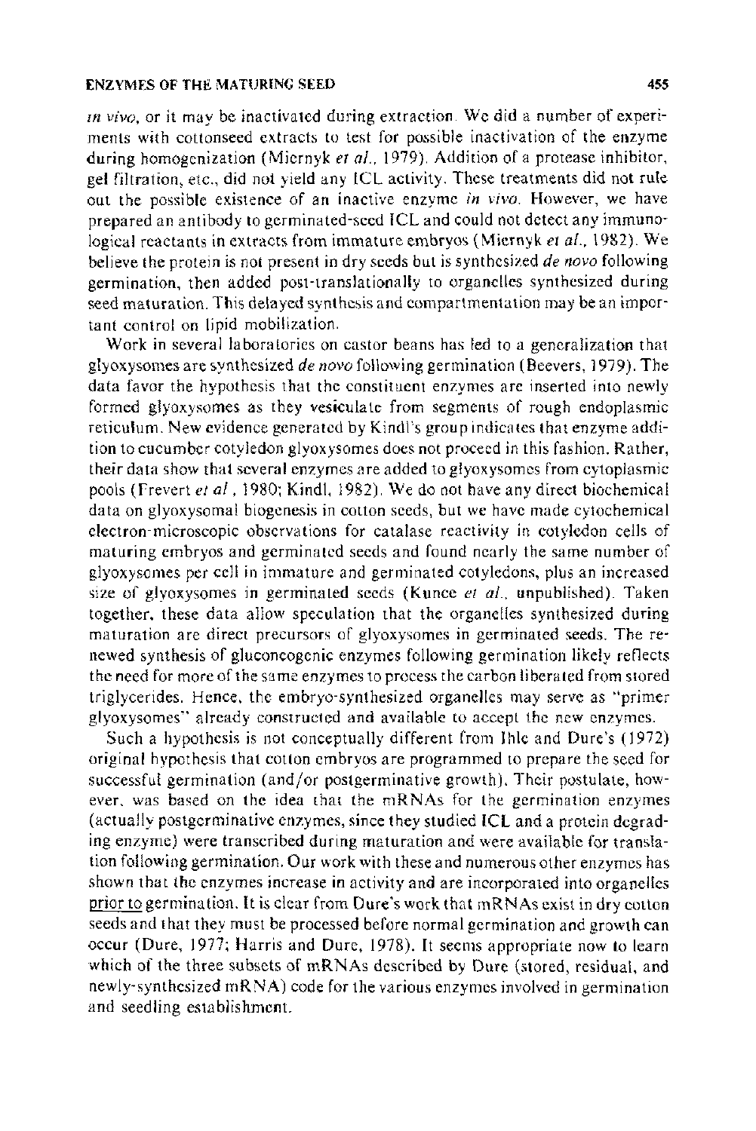*m vivo,* or it may be inactivated during extraction. We did a number of experiments with cottonseed extracts to test for possible inactivation of the enzyme during homogenization (Miernyk *eta/.,* 1979). Addition of a protease inhibitor, gel filtration, etc., did not yield any ICL activity. These treatments did not rule out the possible existence of an inactive enzyme *in vivo.* However, we have prepared an antibody to germinated-seed ICL and could not detect any immunological reactants in extracts from immature embryos (Miernyk *eta/.,* 1982). We believe the protein is not present in dry seeds but is synthesized *de novo* following germination, then added post-translationally to organelles synthesized during seed maturation. This delayed synthesis and compartmentation may be an important control on lipid mobilization.

Work in several laboratories on castor beans has led to a generalization that glyoxysomes are synthesized *de novo* following germination (Beevers, 1 979). The data favor the hypothesis that the constituent enzymes are inserted into newly formed glyoxysomes as they vesiculate from segments of rough endoplasmic reticulum. New evidence generated by Kindl's group indicates that enzyme addition to cucumber cotyledon glyoxysomes does not proceed in this fashion. Rather, their data show that several enzymes are added to glyoxysomes from cytoplasmic pools (Frevert *eta/* , 1980; Kind!, 1982). We do not have any direct biochemical data on glyoxysomal biogenesis in cotton seeds, but we have made cytochemical electron-microscopic observations for catalase reactivity in cotyledon cells of maturing embryos and germinated seeds and found nearly the same number of glyoxysomes per cell in immature and germinated cotyledons, plus an increased size of glyoxysomes in germinated seeds (Kunce *et al.,* unpublished). Taken together, these data allow speculation that the organelles synthesized during maturation are direct precursors of glyoxysomes in germinated seeds. The renewed synthesis of gluconeogenic enzymes following germination likely reflects the need for more of the same enzymes to process the carbon liberated from stored triglycerides. Hence, the embryo-synthesized organelles may serve as "primer glyoxysomes" already constructed and available to accept the new enzymes.

Such a hypothesis is not conceptually different from Ihle and Dure's (1972) original hypothesis that cotton embryos are programmed to prepare the seed for successful germination (and/or postgerminative growth). Their postulate, however. was based on the idea that the mRNAs for the germination enzymes (actually postgerminative enzymes, since they studied ICL and a protein degrading enzyme) were transcribed during maturation and were available for translation following germination. Our work with these and numerous other enzymes has shown that the enzymes increase in activity and are incorporated into organelles prior to germination. It is clear from Dure's work that mRNAs exist in dry cotton seeds and that they must be processed before normal germination and growth can occur (Dure, 1977; Harris and Dure, 1978). It seems appropriate now to learn which of the three subsets of mRNAs described by Dure (stored, residual, and newly-synthesized mRNA) code for the various enzymes involved in germination and seedling establishment.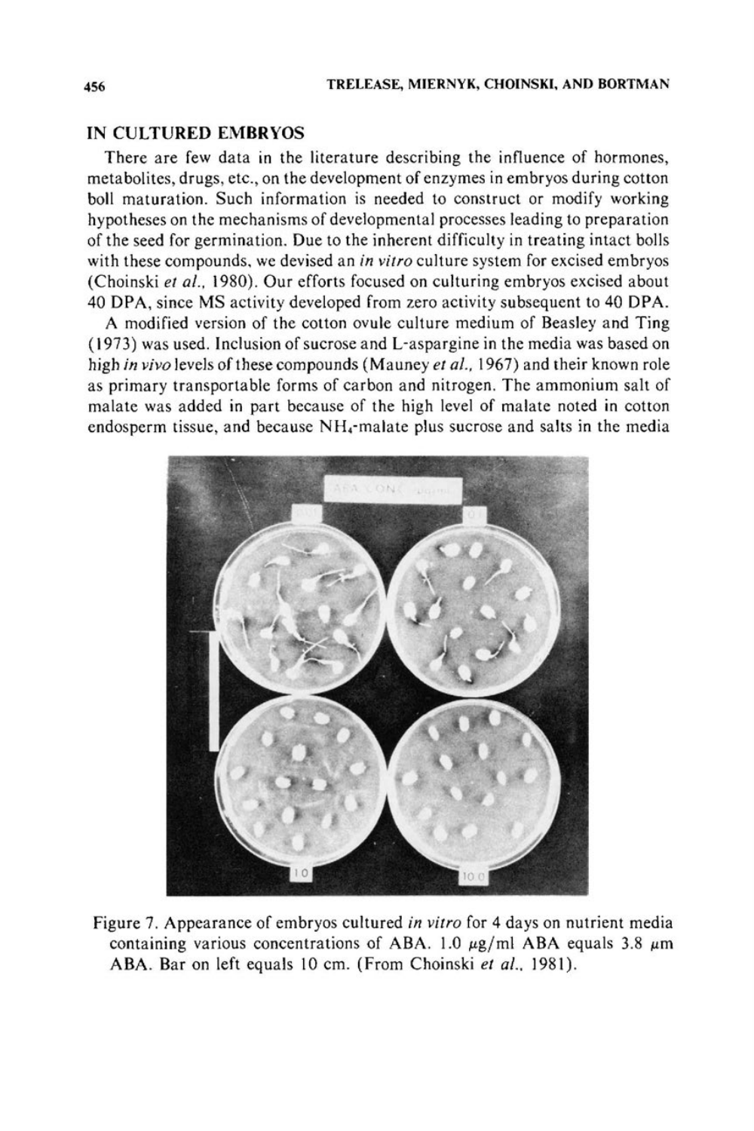## IN CULTURED EMBRYOS

There are few data in the literature describing the influence of hormones, metabolites, drugs, etc., on the development of enzymes in embryos during cotton boll maturation. Such information is needed to construct or modify working hypotheses on the mechanisms of developmental processes leading to preparation of the seed for germination. Due to the inherent difficulty in treating intact bolls with these compounds, we devised an *in vitro* culture system for excised embryos (Choinski *et al.,* 1980). Our efforts focused on culturing embryos excised about 40 DPA, since MS activity developed from zero activity subsequent to 40 DPA.

A modified version of the cotton ovule culture medium of Beasley and Ting ( 1973) was used. Inclusion of sucrose and L-aspargine in the media was based on high *in vivo* levels of these compounds (Mauney *et al.,* 1967) and their known role as primary transportable forms of carbon and nitrogen. The ammonium salt of malate was added in part because of the high level of malate noted in cotton endosperm tissue, and because NH.-malate plus sucrose and salts in the media



Figure 7. Appearance of embryos cultured *in vitro* for 4 days on nutrient media containing various concentrations of ABA. 1.0  $\mu$ g/ml ABA equals 3.8  $\mu$ m ABA. Bar on left equals 10 em. (From Choinski *et a/.,* 1981).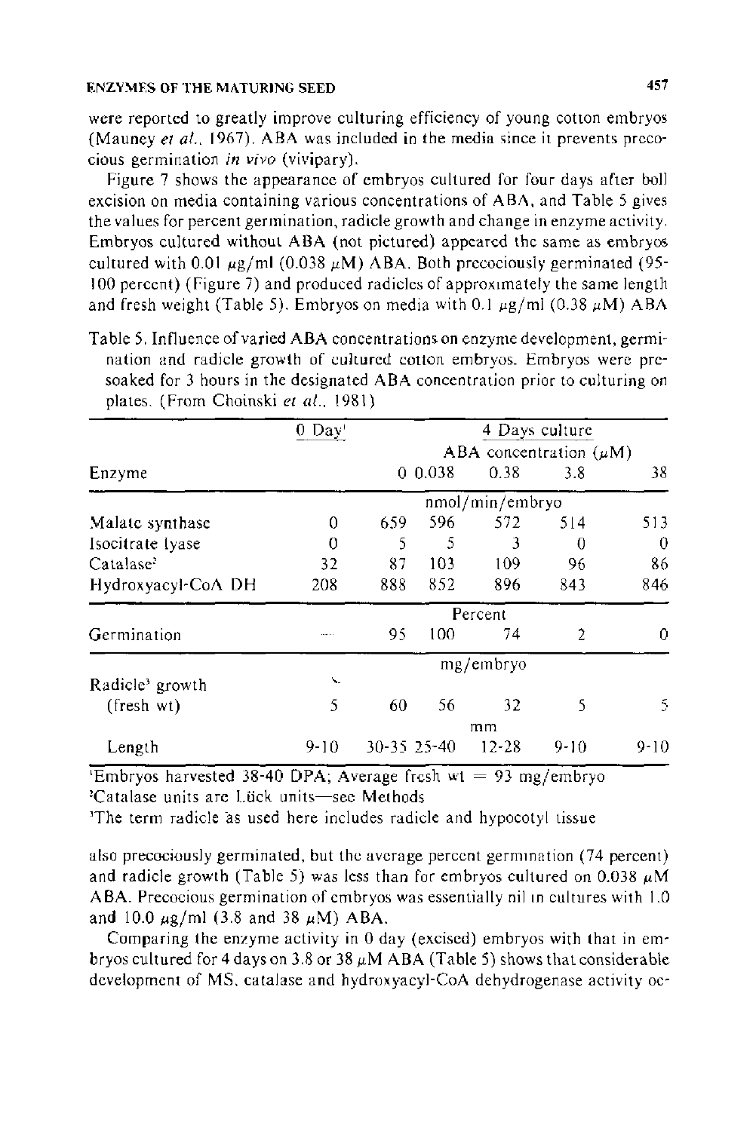were reported to greatly improve culturing efficiency of young cotton embryos (Mauney *et al.,* 1967). ABA was included in the media since it prevents precocious germination *in vivo* (vivipary).

Figure 7 shows the appearance of embryos cultured for four days after boll excision on media containing various concentrations of ABA, and Table 5 gives the values for percent germination, radicle growth and change in enzyme activity. Embryos cultured without ABA (not pictured) appeared the same as embryos cultured with 0.01  $\mu$ g/ml (0.038  $\mu$ M) ABA. Both precociously germinated (95-100 percent) (Figure 7) and produced radicles of approximately the same length and fresh weight (Table 5). Embryos on media with 0.1  $\mu$ g/ml (0.38  $\mu$ M) ABA

Table 5. Influence of varied ABA concentrations on enzyme development, germination and radicle growth of cultured cotton embryos. Embryos were presoaked for 3 hours in the designated ABA concentration prior to culturing on plates. (From Choinski *et al.,* 1981)

|                             | $0$ Day'                    |             |       |                 | 4 Days culture |          |
|-----------------------------|-----------------------------|-------------|-------|-----------------|----------------|----------|
|                             | ABA concentration $(\mu M)$ |             |       |                 |                |          |
| Enzyme                      |                             |             | 0.038 | 0.38            | 3.8            | 38       |
|                             |                             |             |       | nmol/min/embryo |                |          |
| Malate synthase             | 0                           | 659         | 596   | 572             | 514            | 513      |
| Isocitrate Ivase            | 0                           | 5           | 5     | 3               | 0              | 0        |
| Catalase <sup>2</sup>       | 32                          | 87          | 103   | 109             | 96             | 86       |
| Hydroxyacyl-CoA DH          | 208                         | 888         | 852   | 896             | 843            | 846      |
|                             |                             |             |       | Percent         |                |          |
| Germination                 |                             | 95          | 100   | 74              | $\overline{2}$ | 0        |
|                             |                             |             |       | mg/embryo       |                |          |
| Radicle <sup>3</sup> growth | $\mathbf{v}_\mathrm{in}$    |             |       |                 |                |          |
| $(fresh \ w t)$             | 5                           | 60          | 56    | 32              | 5              | S.       |
|                             |                             |             |       | mm              |                |          |
| Length                      | $9 - 10$                    | 30-35 25-40 |       | $12 - 28$       | 9-10           | $9 - 10$ |

'Embryos harvested 38-40 DPA; Average fresh wt = 93 mg/embryo <sup>2</sup>Catalase units are Lück units-see Methods

'The term radicle as used here includes radicle and hypocotyl tissue

also precociously germinated, but the average percent germination (74 percent) and radicle growth (Table 5) was less than for embryos cultured on 0.038  $\mu$ M ABA. Precocious germination of embryos was essentially nil in cultures with 1.0 and 10.0  $\mu$ g/ml (3.8 and 38  $\mu$ M) ABA.

Comparing the enzyme activity in 0 day (excised) embryos with that in embryos cultured for 4 days on 3.8 or 38  $\mu$ M ABA (Table 5) shows that considerable development of MS, catalase and hydroxyacyl-CoA dehydrogenase activity oc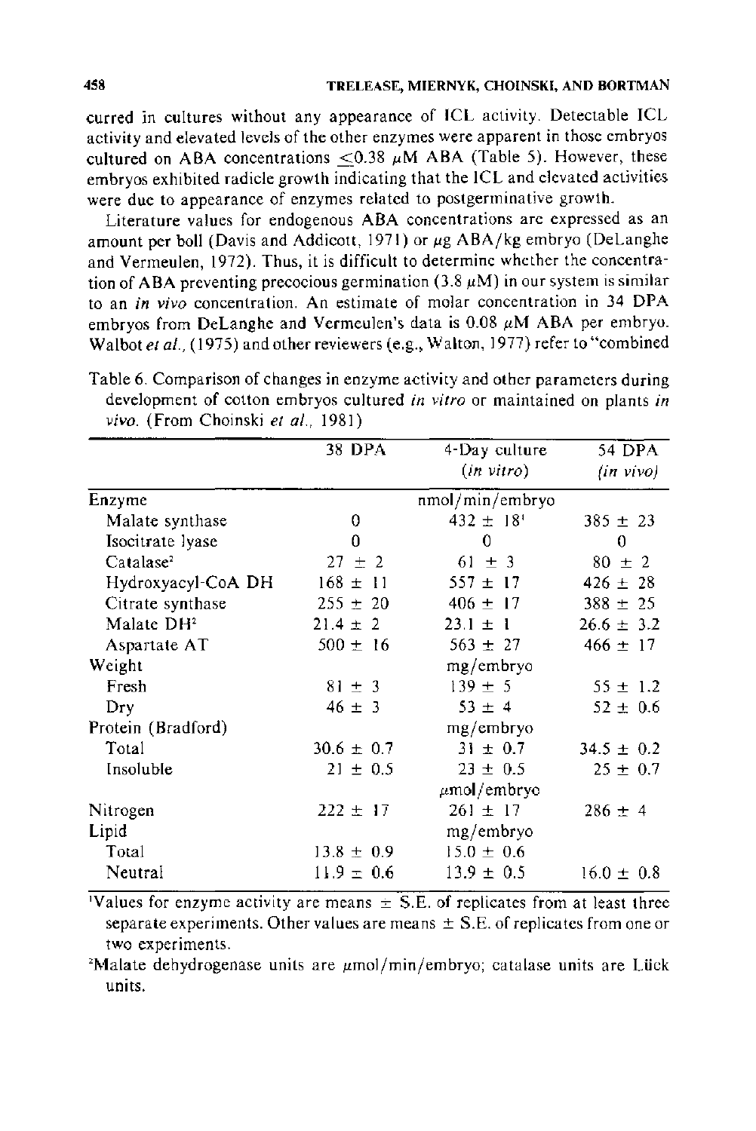curred in cultures without any appearance of ICL activity. Detectable ICL activity and elevated levels of the other enzymes were apparent in those embryos cultured on ABA concentrations  $< 0.38 \mu M$  ABA (Table 5). However, these embryos exhibited radicle growth indicating that the ICL and elevated activities were due to appearance of enzymes related to postgerminative growth.

Literature values for endogenous ABA concentrations are expressed as an amount per boll (Davis and Addicott, 1971) or  $\mu$ g ABA/kg embryo (DeLanghe and Vermeulen, 1972). Thus, it is difficult to determine whether the concentration of ABA preventing precocious germination (3.8  $\mu$ M) in our system is similar to an *in vivo* concentration. An estimate of molar concentration in 34 DPA embryos from DeLanghe and Vermeulen's data is  $0.08 \mu M$  ABA per embryo. Walbot *et* at., (1975) and other reviewers (e.g., Walton, 1977) refer to "combined

Table 6. Comparison of changes in enzyme activity and other parameters during development of cotton embryos cultured *in vitro* or maintained on plants *in vivo.* (From Choinski *et* at., 1981)

|                        | 38 DPA         | 4-Day culture             | 54 DPA         |
|------------------------|----------------|---------------------------|----------------|
|                        |                | (in vitro)                | (in vivo)      |
| Enzyme                 |                | nmol/min/embryo           |                |
| Malate synthase        | 0              | $432 \pm 18$ <sup>t</sup> | $385 \pm 23$   |
| Isocitrate lyase       | 0              | 0                         | 0              |
| Catalase <sup>2</sup>  | $27 \pm 2$     | $61 \pm 3$                | $80 \pm 2$     |
| Hydroxyacyl-CoA DH     | $168 \pm 11$   | $557 \pm 17$              | $426 \pm 28$   |
| Citrate synthase       | $255 \pm 20$   | $406 \pm 17$              | $388 \pm 25$   |
| Malate DH <sup>2</sup> | $21.4 \pm 2$   | $23.1 \pm 1$              | $26.6 \pm 3.2$ |
| Aspartate AT           | $500 \pm 16$   | $563 \pm 27$              | $466 \pm 17$   |
| Weight                 |                | mg/embryo                 |                |
| Fresh                  | $81 \pm 3$     | $139 \pm 5$               | $55 \pm 1.2$   |
| Dry                    | $46 \pm 3$     | $53 \pm 4$                | $52 \pm 0.6$   |
| Protein (Bradford)     |                | mg/embryo                 |                |
| Total                  | $30.6 \pm 0.7$ | $31 \pm 0.7$              | $34.5 \pm 0.2$ |
| Insoluble              | $21 \pm 0.5$   | $23 \pm 0.5$              | $25 \pm 0.7$   |
|                        |                | μmol/embryo               |                |
| Nitrogen               | $222 \pm 17$   | $261 \pm 17$              | $286 \pm 4$    |
| Lipid                  |                | mg/embryo                 |                |
| Total                  | $13.8 \pm 0.9$ | $15.0 \pm 0.6$            |                |
| Neutral                | $11.9 = 0.6$   | $13.9 \pm 0.5$            | $16.0 \pm 0.8$ |

'Values for enzyme activity are means  $\pm$  S.E. of replicates from at least three separate experiments. Other values are means  $\pm$  S.E. of replicates from one or two experiments.

<sup>2</sup>Malate dehydrogenase units are  $\mu$ mol/min/embryo; catalase units are Lück units.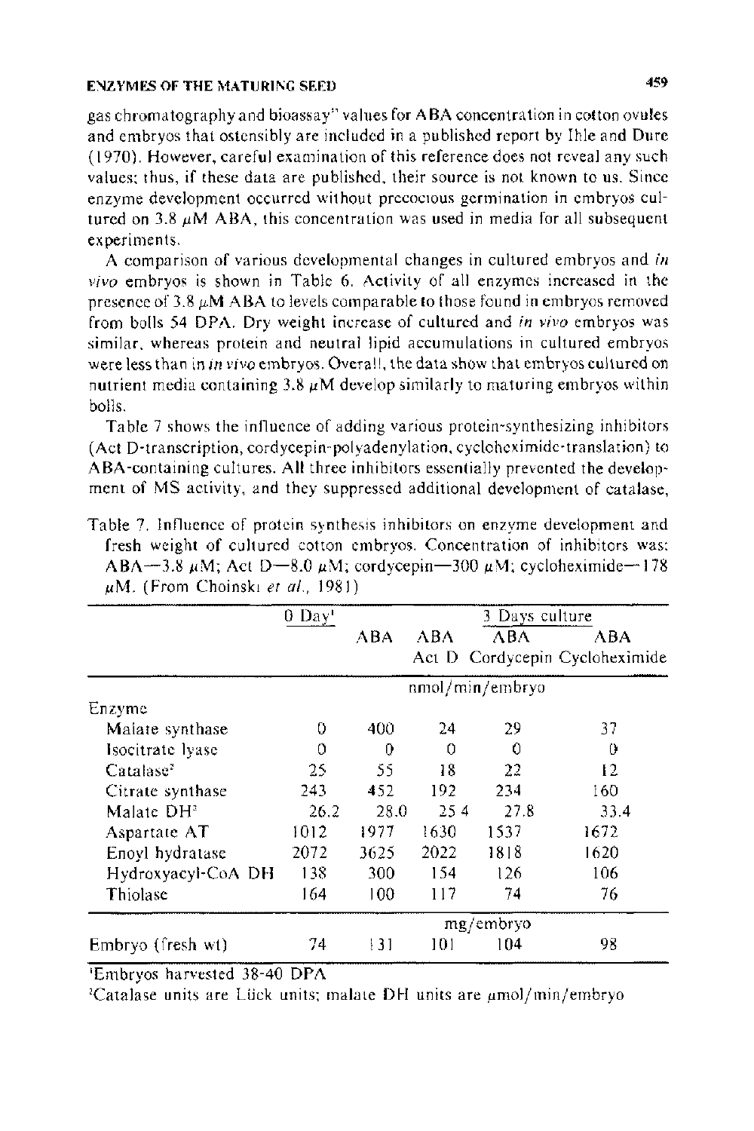gas chromatography and bioassay" values for **ABA** concentration in cotton ovules and embryos that ostensibly are included in a published report by Ihlc and Dure ( 1970). However, careful examination of this reference does not reveal any such values; thus, if these data are published, their source is not known to us. Since enzyme development occurred without precocious germination in embryos cultured on 3.8  $\mu$ M ABA, this concentration was used in media for all subsequent experiments.

A comparison of various developmental changes in cultured embryos and *in vivo* embryos is shown in Table 6. Activity of all enzymes increased in the presence of 3.8  $\mu$ M ABA to levels comparable to those found in embryos removed from bolls 54 DPA. Dry weight increase of cultured and *in vivo* embryos was similar, whereas protein and neutral lipid accumulations in cultured embryos were less than in in vivo embryos. Overall, the data show that embryos cultured on nutrient media containing  $3.8 \mu M$  develop similarly to maturing embryos within bolls.

Table 7 shows the influence of adding various protein-synthesizing inhibitors (Act D-transcription, cordycepin-polyadenylation. cycloheximide-translation) to ABA-containing cultures. All three inhibitors essentially prevented the development of MS activity, and they suppressed additional development of catalase,

|                        | 0 Day |           |          | 3 Days culture  |                                |  |
|------------------------|-------|-----------|----------|-----------------|--------------------------------|--|
|                        |       | ABA       | ABA      | АВА             | АВА                            |  |
|                        |       |           |          |                 | Act D Cordycepin Cycloheximide |  |
|                        |       |           |          | nmol/min/embryo |                                |  |
| Enzyme                 |       |           |          |                 |                                |  |
| Malate synthase        | 0     | 400       | 24       | 29              | 37                             |  |
| Isocitrate lyase       | 0     | 0         | $\Omega$ | 0               | 0                              |  |
| Catalase <sup>2</sup>  | 25    | 55        | 18       | 22              | 12                             |  |
| Citrate synthase       | 243   | 452       | 192      | 234             | 160                            |  |
| Malate DH <sup>2</sup> | 26.2  | 28.0      | 25.4     | 27.8            | 33.4                           |  |
| Aspartate AT           | 1012  | 1977      | 1630     | 1537            | 1672                           |  |
| Enoyl hydratase        | 2072  | 3625      | 2022     | 1818            | 1620                           |  |
| Hydroxyacyl-CoA DH     | 138   | 300       | 154      | 126             | 106                            |  |
| Thiolase               | 164   | 100       | 117      | 74              | 76                             |  |
|                        |       | mg/embryo |          |                 |                                |  |
| Embryo (fresh wt)      | 74    | 31        | 101      | 104             | 98                             |  |

Table 7. Influence of protein synthesis inhibitors on enzyme development and fresh weight of cultured cotton embryos. Concentration of inhibitors was: ABA-3.8  $\mu$ M; Act D-8.0  $\mu$ M; cordycepin-300  $\mu$ M; cycloheximide-178 ,~iM. (From Choinskt *et a/.,* 1981)

'Embryos harvested 38-40 DPA

<sup>2</sup>Catalase units are Lück units; malate DH units are  $\mu$ mol/min/embryo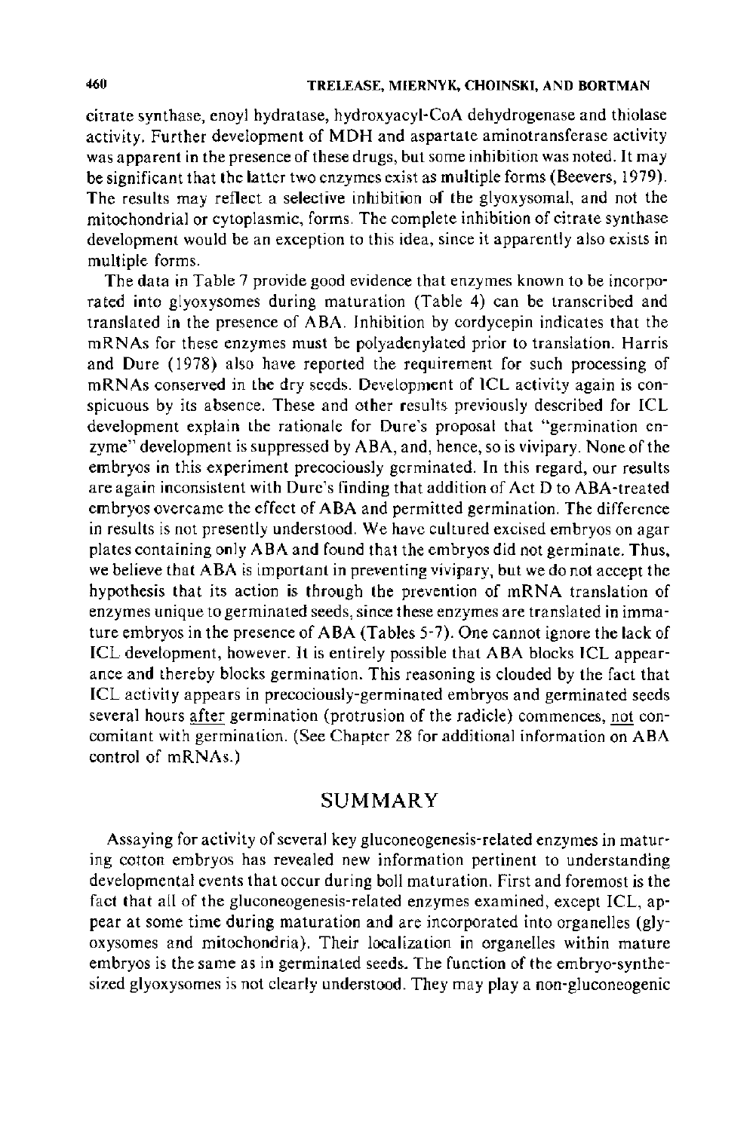citrate synthase, enoyl hydratase, hydroxyacyl-CoA dehydrogenase and thiolase activity. Further development of MDH and aspartate aminotransferase activity was apparent in the presence of these drugs, but some inhibition was noted. It may be significant that the latter two enzymes exist as multiple forms (Beevers, 1979). The results may reflect a selective inhibition of the glyoxysomal, and not the mitochondrial or cytoplasmic, forms. The complete inhibition of citrate synthase development would be an exception to this idea, since it apparently also exists in multiple forms.

The data in Table 7 provide good evidence that enzymes known to be incorporated into glyoxysomes during maturation (Table 4) can be transcribed and translated in the presence of ABA. Inhibition by cordycepin indicates that the mRNAs for these enzymes must be polyadenylated prior to translation. Harris and Dure (1978) also have reported the requirement for such processing of mRNAs conserved in the dry seeds. Development of ICL activity again is conspicuous by its absence. These and other results previously described for ICL development explain the rationale for Dure's proposal that "germination enzyme" development is suppressed by ABA, and, hence, so is vivipary. None of the embryos in this experiment precociously germinated. In this regard, our results are again inconsistent with Dure's finding that addition of Act D to ABA-treated embryos overcame the effect of ABA and permitted germination. The difference in results is not presently understood. We have cultured excised embryos on agar plates containing only ABA and found that the embryos did not germinate. Thus, we believe that ABA is important in preventing vivipary, but we do not accept the hypothesis that its action is through the prevention of mRNA translation of enzymes unique to germinated seeds, since these enzymes are translated in immature embryos in the presence of ABA (Tables 5-7). One cannot ignore the lack of ICL development, however. It is entirely possible that ABA blocks ICL appearance and thereby blocks germination. This reasoning is clouded by the fact that ICL activity appears in precociously-germinated embryos and germinated seeds several hours after germination (protrusion of the radicle) commences, not concomitant with germination. (See Chapter 28 for additional information on ABA control of mRNAs.)

# SUMMARY

Assaying for activity of several key gluconeogenesis-related enzymes in maturing cotton embryos has revealed new information pertinent to understanding developmental events that occur during boll maturation. First and foremost is the fact that all of the gluconeogenesis-related enzymes examined, except ICL, appear at some time during maturation and are incorporated into organelles (glyoxysomes and mitochondria). Their localization in organelles within mature embryos is the same as in germinated seeds. The function of the embryo-synthesized glyoxysomes is not clearly understood. They may play a non-gluconeogenic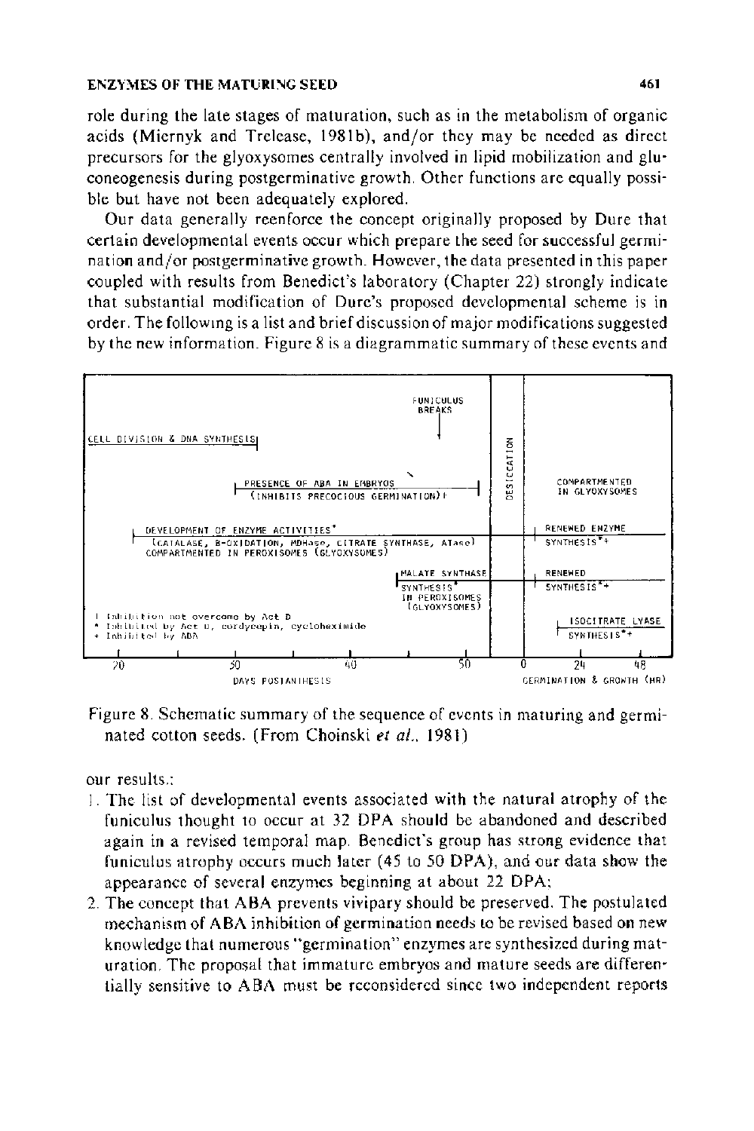role during the late stages of maturation, such as in the metabolism of organic acids (Miernyk and Trelease, 1981b), and/or they may be needed as direct precursors for the glyoxysomes centrally involved in lipid mobilization and gluconeogenesis during postgerminative growth. Other functions are equally possible but have not been adequately explored.

Our data generally reenforce the concept originally proposed by Dure that certain developmental events occur which prepare the seed for successful germination and/or postgerminative growth. However, the data presented in this paper coupled with results from Benedict's laboratory (Chapter 22) strongly indicate that substantial modification of Durc's proposed developmental scheme is in order. The following is a list and brief discussion of major modifications suggested by the new information. Figure 8 is a diagrammatic summary of these events and



Figure 8. Schematic summary of the sequence of events in maturing and germinated cotton seeds. (From Choinski et al., 1981)

our results.:

- 1. The list of developmental events associated with the natural atrophy of the funiculus thought to occur at 32 DPA should be abandoned and described again in a revised temporal map. Benedict's group has strong evidence that funiculus atrophy occurs much later (45 to 50 DPA), and our data show the appearance of several enzymes beginning at about 22 DPA;
- 2. The concept that ABA prevents vivipary should be preserved. The postulated mechanism of ABA inhibition of germination needs to be revised based on new knowledge that numerous "germination" enzymes are synthesized during maturation. The proposal that immature embryos and mature seeds are differentially sensitive to ABA must be reconsidered since two independent reports